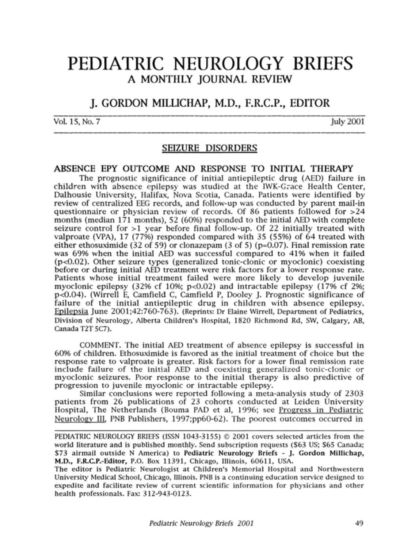# PEDIATRIC NEUROLOGY BRIEFS A MONTHLY JOURNAL REVIEW

# J. GORDON MILLICHAP, M.D., F.R.C.P., EDITOR

Vol. 15, No. 7 July 2001

## SEIZURE DISORDERS

#### ABSENCE EPY OUTCOME AND RESPONSE TO INITIAL THERAPY

The prognostic significance of initial antiepileptic drug (AED) failure in children with absence epilepsy was studied at the IWK-Grace Health Center, Dalhousie University, Halifax, Nova Scotia, Canada. Patients were identified by review of centralized EEG records, and follow-up was conducted by parent mail-in questionnaire or physician review of records. Of 86 patients followed for >24 months (median 171 months), 52 (60%) responded to the initial AED with complete seizure control for >1 year before final follow-up. Of <sup>22</sup> initially treated with valproate (VPA), 17 (77%) responded compared with 35 (55%) of 64 treated with either ethosuximide (32 of 59) or clonazepam (3 of 5) ( $p=0.07$ ). Final remission rate was 69% when the initial AED was successful compared to 41% when it failed (p<0.02). Other seizure types (generalized tonic-clonic or myoclonic) coexisting before or during initial AED treatment were risk factors for <sup>a</sup> lower response rate. Patients whose initial treatment failed were more likely to develop juvenile myoclonic epilepsy (32% cf 10%; p<0.02) and intractable epilepsy (17% cf 2%; p<0.04). (Wirrell E, Camfield C, Camfield P, Dooley J. Prognostic significance of failure of the initial antiepileptic drug in children with absence epilepsy. Epilepsia lune 2001;42:760-763). (Reprints: Dr Elaine Wirrell, Department of Pediatrics, Division of Neurology, Alberta Children's Hospital, 1820 Richmond Rd, SW, Calgary, AB, Canada T2T<sub>5</sub>C7).

COMMENT. The initial AED treatment of absence epilepsy is successful in 60% of children. Ethosuximide is favored as the initial treatment of choice but the response rate to valproate is greater. Risk factors for a lower final remission rate include failure of the initial AED and coexisting generalized tonic-clonic or myoclonic seizures. Poor response to the initial therapy is also predictive of progression to juvenile myoclonic or intractable epilepsy.

Similar conclusions were reported following <sup>a</sup> meta-analysis study of 2303 patients from 26 publications of 23 cohorts conducted at Leiden University Hospital, The Netherlands (Bouma PAD et al, 1996; see Progress in Pediatric Neurology III. PNB Publishers, 1997;pp60-62). The poorest outcomes occurred in

PEDIATRIC NEUROLOGY BRIEFS (ISSN 1043-3155) © 2001 covers selected articles from the world literature and is published monthly. Send subscription requests (\$63 US; \$65 Canada; \$73 airmail outside N America) to Pediatric Neurology Briefs - J. Gordon Millichap, M.D., F.R.C.P.-Editor, P.O. Box 11391, Chicago, Illinois, 60611, USA.

The editor is Pediatric Neurologist at Children's Memorial Hospital and Northwestern University Medical School, Chicago, Illinois. PNB is a continuing education service designed to expedite and facilitate review of current scientific information for physicians and other health professionals. Fax: 312-943-0123.